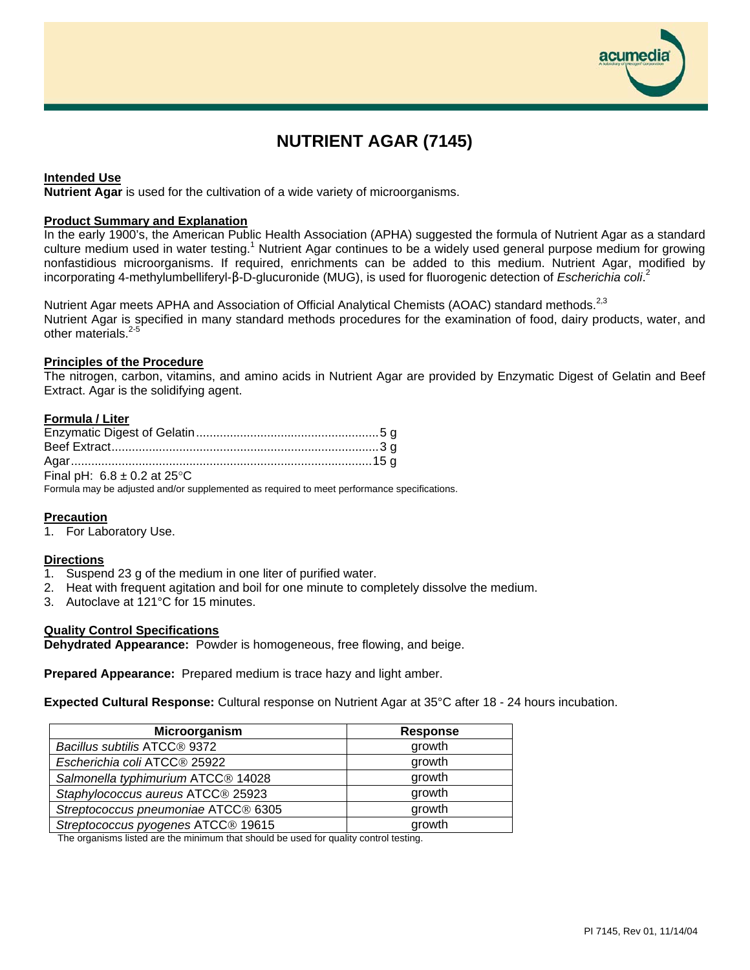# **NUTRIENT AGAR (7145)**

## **Intended Use**

**Nutrient Agar** is used for the cultivation of a wide variety of microorganisms.

#### **Product Summary and Explanation**

In the early 1900's, the American Public Health Association (APHA) suggested the formula of Nutrient Agar as a standard culture medium used in water testing.<sup>1</sup> Nutrient Agar continues to be a widely used general purpose medium for growing nonfastidious microorganisms. If required, enrichments can be added to this medium. Nutrient Agar, modified by incorporating 4-methylumbelliferyl-β-D-glucuronide (MUG), is used for fluorogenic detection of *Escherichia coli*. 2

Nutrient Agar meets APHA and Association of Official Analytical Chemists (AOAC) standard methods.<sup>2,3</sup> Nutrient Agar is specified in many standard methods procedures for the examination of food, dairy products, water, and other materials.<sup>2-5</sup>

#### **Principles of the Procedure**

The nitrogen, carbon, vitamins, and amino acids in Nutrient Agar are provided by Enzymatic Digest of Gelatin and Beef Extract. Agar is the solidifying agent.

## **Formula / Liter**

| Final pH: $6.8 \pm 0.2$ at 25°C |  |
|---------------------------------|--|

Formula may be adjusted and/or supplemented as required to meet performance specifications.

## **Precaution**

1. For Laboratory Use.

#### **Directions**

- 1. Suspend 23 g of the medium in one liter of purified water.
- 2. Heat with frequent agitation and boil for one minute to completely dissolve the medium.
- 3. Autoclave at 121°C for 15 minutes.

#### **Quality Control Specifications**

**Dehydrated Appearance:** Powder is homogeneous, free flowing, and beige.

**Prepared Appearance:** Prepared medium is trace hazy and light amber.

**Expected Cultural Response:** Cultural response on Nutrient Agar at 35°C after 18 - 24 hours incubation.

| Microorganism                       | <b>Response</b> |
|-------------------------------------|-----------------|
| Bacillus subtilis ATCC® 9372        | growth          |
| Escherichia coli ATCC® 25922        | growth          |
| Salmonella typhimurium ATCC® 14028  | growth          |
| Staphylococcus aureus ATCC® 25923   | growth          |
| Streptococcus pneumoniae ATCC® 6305 | growth          |
| Streptococcus pyogenes ATCC® 19615  | growth          |

The organisms listed are the minimum that should be used for quality control testing.